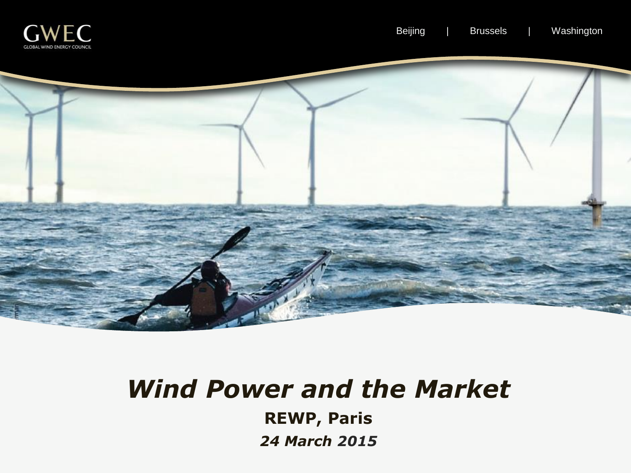



# *Wind Power and the Market* **REWP, Paris** *24 March 2015*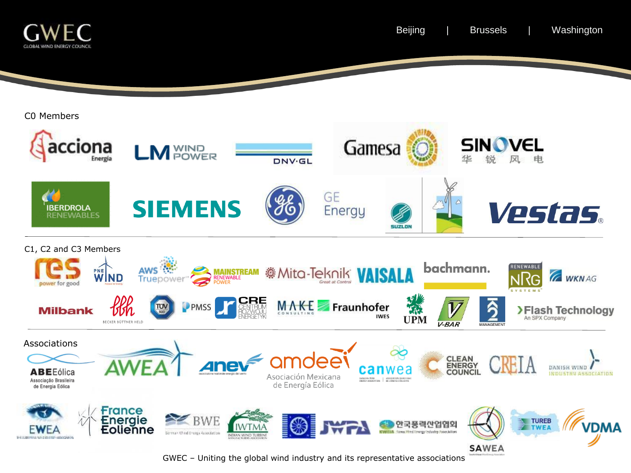

GWEC – Uniting the global wind industry and its representative associations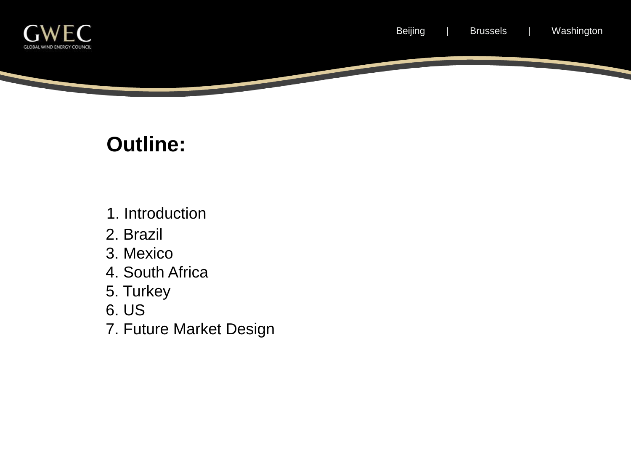

#### **Outline:**

- 1. Introduction
- 2. Brazil
- 3. Mexico
- 4. South Africa
- 5. Turkey
- 6. US
- 7. Future Market Design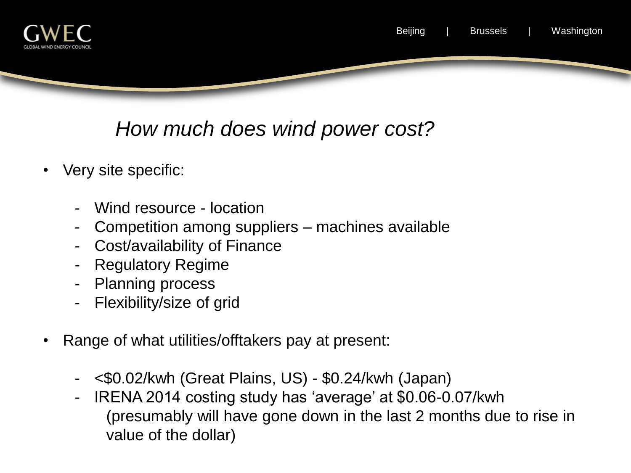



#### *How much does wind power cost?*

- Very site specific:
	- Wind resource location
	- Competition among suppliers machines available
	- Cost/availability of Finance
	- Regulatory Regime
	- Planning process
	- Flexibility/size of grid
- Range of what utilities/offtakers pay at present:
	- <\$0.02/kwh (Great Plains, US) \$0.24/kwh (Japan)
	- IRENA 2014 costing study has 'average' at \$0.06-0.07/kwh (presumably will have gone down in the last 2 months due to rise in value of the dollar)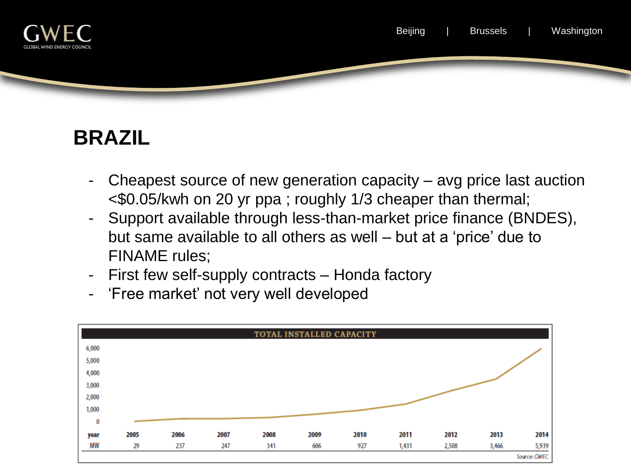

# **BRAZIL**

- Cheapest source of new generation capacity  $-$  avg price last auction <\$0.05/kwh on 20 yr ppa ; roughly 1/3 cheaper than thermal;
- Support available through less-than-market price finance (BNDES), but same available to all others as well – but at a 'price' due to FINAME rules;
- First few self-supply contracts Honda factory
- 'Free market' not very well developed

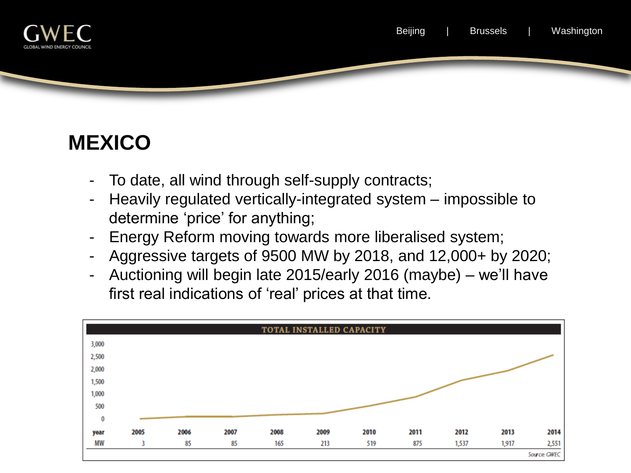

#### **MEXICO**

- To date, all wind through self-supply contracts;
- Heavily regulated vertically-integrated system impossible to determine 'price' for anything;
- Energy Reform moving towards more liberalised system;
- Aggressive targets of 9500 MW by 2018, and 12,000+ by 2020;
- Auctioning will begin late 2015/early 2016 (maybe) we'll have first real indications of 'real' prices at that time.

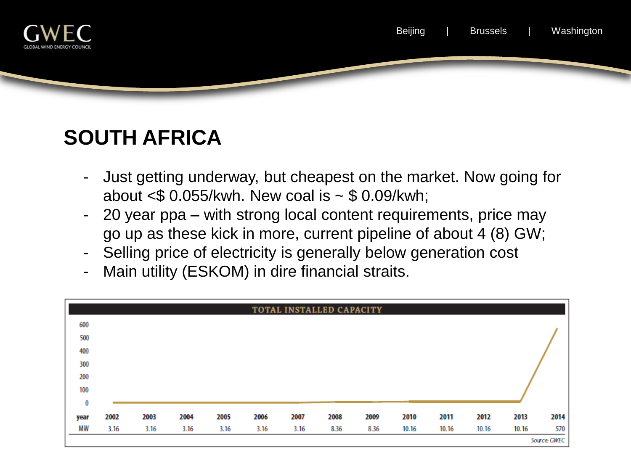

# **SOUTH AFRICA**

- Just getting underway, but cheapest on the market. Now going for about  $\leq$  0.055/kwh. New coal is  $\sim$  \$ 0.09/kwh;
- 20 year ppa with strong local content requirements, price may go up as these kick in more, current pipeline of about 4 (8) GW;
- Selling price of electricity is generally below generation cost
- Main utility (ESKOM) in dire financial straits.

| TOTAL INSTALLED CAPACITY |              |      |      |      |      |      |      |      |       |       |       |       |      |
|--------------------------|--------------|------|------|------|------|------|------|------|-------|-------|-------|-------|------|
| 600                      |              |      |      |      |      |      |      |      |       |       |       |       |      |
| 500                      |              |      |      |      |      |      |      |      |       |       |       |       |      |
| 400                      |              |      |      |      |      |      |      |      |       |       |       |       |      |
| 300                      |              |      |      |      |      |      |      |      |       |       |       |       |      |
| 200                      |              |      |      |      |      |      |      |      |       |       |       |       |      |
| 100                      |              |      |      |      |      |      |      |      |       |       |       |       |      |
| $\bf{0}$                 |              |      |      |      |      |      |      |      |       |       |       |       |      |
| year                     | 2002         | 2003 | 2004 | 2005 | 2006 | 2007 | 2008 | 2009 | 2010  | 2011  | 2012  | 2013  | 2014 |
| MW                       | 3.16         | 3.16 | 3.16 | 3.16 | 3.16 | 3.16 | 8.36 | 8.36 | 10.16 | 10.16 | 10.16 | 10.16 | 570  |
|                          | Source: GWEC |      |      |      |      |      |      |      |       |       |       |       |      |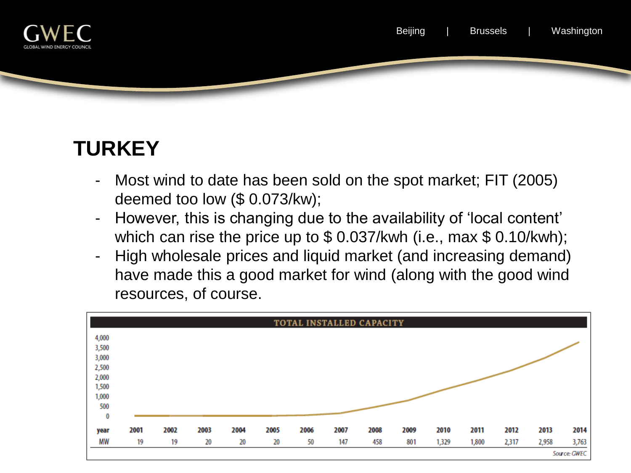

# **TURKEY**

- Most wind to date has been sold on the spot market; FIT (2005) deemed too low (\$ 0.073/kw);
- However, this is changing due to the availability of 'local content' which can rise the price up to \$ 0.037/kwh (i.e., max \$ 0.10/kwh);
- High wholesale prices and liquid market (and increasing demand) have made this a good market for wind (along with the good wind resources, of course.

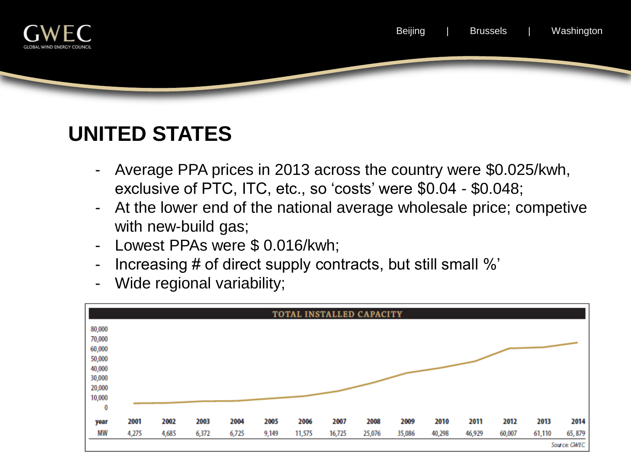

## **UNITED STATES**

- Average PPA prices in 2013 across the country were \$0.025/kwh, exclusive of PTC, ITC, etc., so 'costs' were \$0.04 - \$0.048;
- At the lower end of the national average wholesale price; competive with new-build gas;
- Lowest PPAs were \$ 0.016/kwh;
- Increasing # of direct supply contracts, but still small %'
- Wide regional variability;

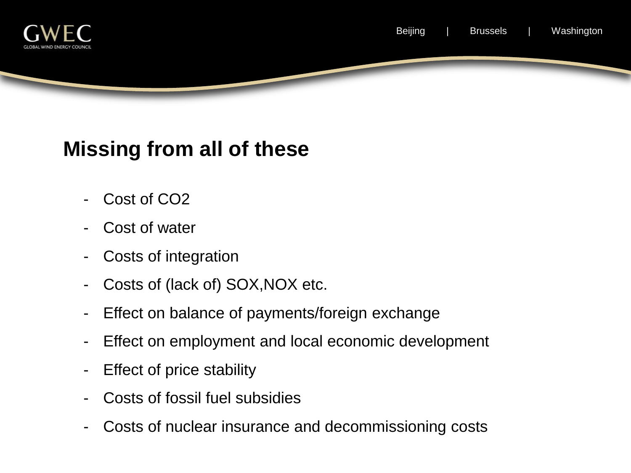

#### **Missing from all of these**

- Cost of CO<sub>2</sub>
- Cost of water
- Costs of integration
- Costs of (lack of) SOX, NOX etc.
- Effect on balance of payments/foreign exchange
- Effect on employment and local economic development
- Effect of price stability
- Costs of fossil fuel subsidies
- Costs of nuclear insurance and decommissioning costs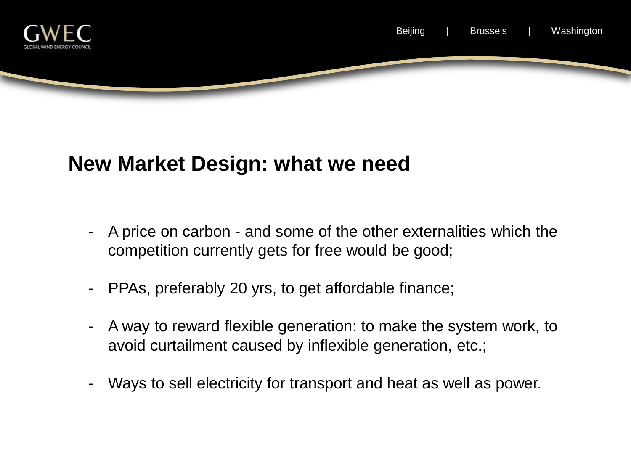

#### **New Market Design: what we need**

- A price on carbon and some of the other externalities which the competition currently gets for free would be good;
- PPAs, preferably 20 yrs, to get affordable finance;
- A way to reward flexible generation: to make the system work, to avoid curtailment caused by inflexible generation, etc.;
- Ways to sell electricity for transport and heat as well as power.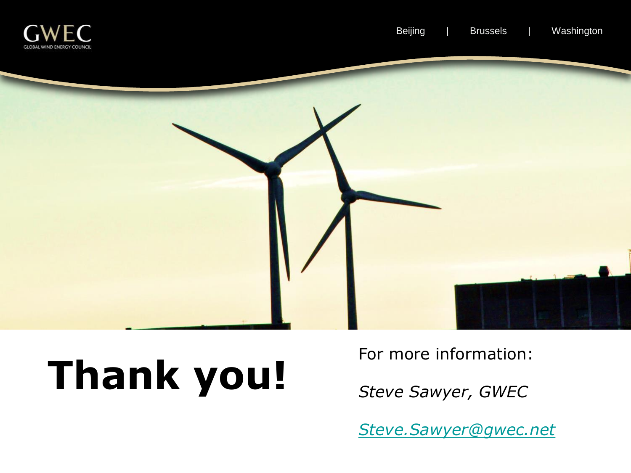



# **Thank you!**

For more information:

*Steve Sawyer, GWEC*

*[Steve.Sawyer@gwec.net](mailto:Steve.sawyer@gwec.net)*